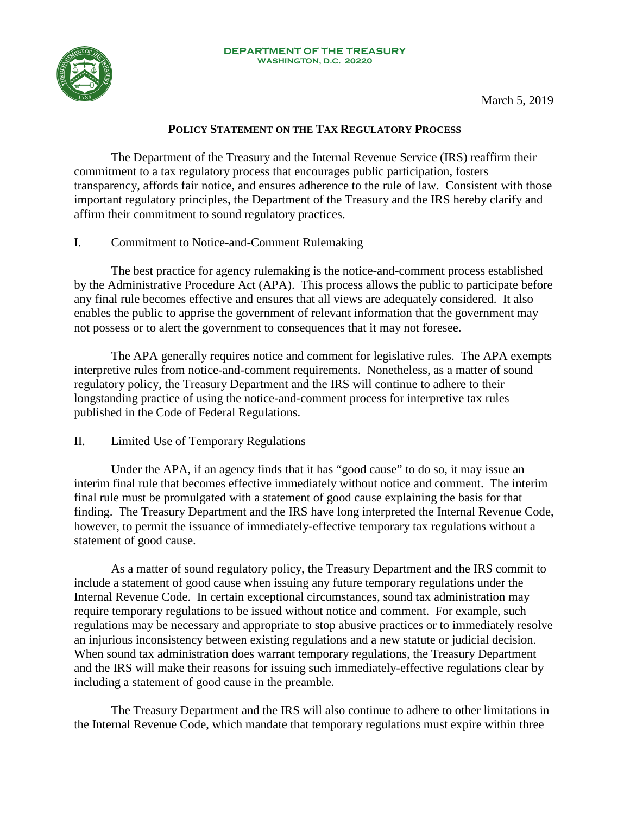

# **POLICY STATEMENT ON THE TAX REGULATORY PROCESS**

The Department of the Treasury and the Internal Revenue Service (IRS) reaffirm their commitment to a tax regulatory process that encourages public participation, fosters transparency, affords fair notice, and ensures adherence to the rule of law. Consistent with those important regulatory principles, the Department of the Treasury and the IRS hereby clarify and affirm their commitment to sound regulatory practices.

## I. Commitment to Notice-and-Comment Rulemaking

The best practice for agency rulemaking is the notice-and-comment process established by the Administrative Procedure Act (APA). This process allows the public to participate before any final rule becomes effective and ensures that all views are adequately considered. It also enables the public to apprise the government of relevant information that the government may not possess or to alert the government to consequences that it may not foresee.

The APA generally requires notice and comment for legislative rules. The APA exempts interpretive rules from notice-and-comment requirements. Nonetheless, as a matter of sound regulatory policy, the Treasury Department and the IRS will continue to adhere to their longstanding practice of using the notice-and-comment process for interpretive tax rules published in the Code of Federal Regulations.

## II. Limited Use of Temporary Regulations

Under the APA, if an agency finds that it has "good cause" to do so, it may issue an interim final rule that becomes effective immediately without notice and comment. The interim final rule must be promulgated with a statement of good cause explaining the basis for that finding. The Treasury Department and the IRS have long interpreted the Internal Revenue Code, however, to permit the issuance of immediately-effective temporary tax regulations without a statement of good cause.

As a matter of sound regulatory policy, the Treasury Department and the IRS commit to include a statement of good cause when issuing any future temporary regulations under the Internal Revenue Code. In certain exceptional circumstances, sound tax administration may require temporary regulations to be issued without notice and comment. For example, such regulations may be necessary and appropriate to stop abusive practices or to immediately resolve an injurious inconsistency between existing regulations and a new statute or judicial decision. When sound tax administration does warrant temporary regulations, the Treasury Department and the IRS will make their reasons for issuing such immediately-effective regulations clear by including a statement of good cause in the preamble.

The Treasury Department and the IRS will also continue to adhere to other limitations in the Internal Revenue Code, which mandate that temporary regulations must expire within three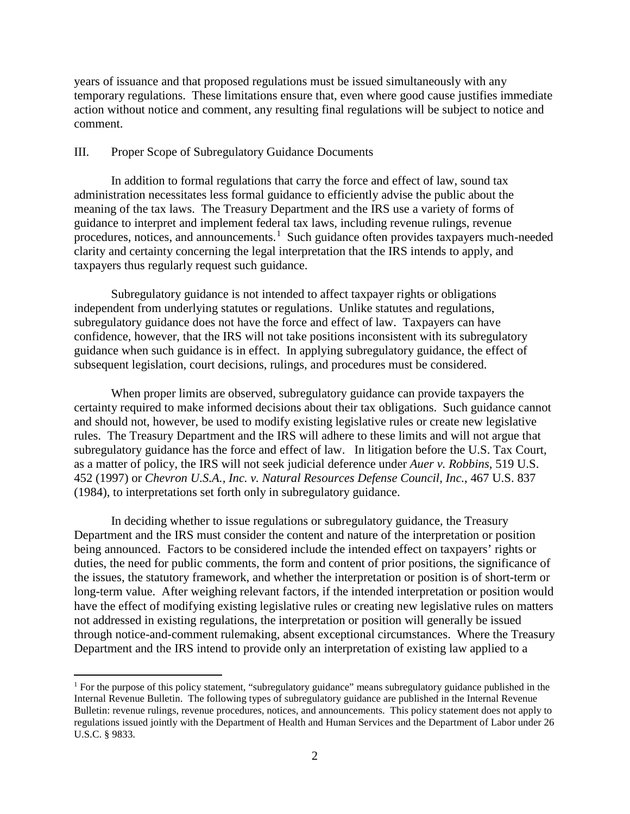years of issuance and that proposed regulations must be issued simultaneously with any temporary regulations. These limitations ensure that, even where good cause justifies immediate action without notice and comment, any resulting final regulations will be subject to notice and comment.

#### III. Proper Scope of Subregulatory Guidance Documents

In addition to formal regulations that carry the force and effect of law, sound tax administration necessitates less formal guidance to efficiently advise the public about the meaning of the tax laws. The Treasury Department and the IRS use a variety of forms of guidance to interpret and implement federal tax laws, including revenue rulings, revenue procedures, notices, and announcements.<sup>[1](#page-1-0)</sup> Such guidance often provides taxpayers much-needed clarity and certainty concerning the legal interpretation that the IRS intends to apply, and taxpayers thus regularly request such guidance.

Subregulatory guidance is not intended to affect taxpayer rights or obligations independent from underlying statutes or regulations. Unlike statutes and regulations, subregulatory guidance does not have the force and effect of law. Taxpayers can have confidence, however, that the IRS will not take positions inconsistent with its subregulatory guidance when such guidance is in effect. In applying subregulatory guidance, the effect of subsequent legislation, court decisions, rulings, and procedures must be considered.

When proper limits are observed, subregulatory guidance can provide taxpayers the certainty required to make informed decisions about their tax obligations. Such guidance cannot and should not, however, be used to modify existing legislative rules or create new legislative rules. The Treasury Department and the IRS will adhere to these limits and will not argue that subregulatory guidance has the force and effect of law. In litigation before the U.S. Tax Court, as a matter of policy, the IRS will not seek judicial deference under *Auer v. Robbins*, 519 U.S. 452 (1997) or *Chevron U.S.A., Inc. v. Natural Resources Defense Council, Inc.*, 467 U.S. 837 (1984), to interpretations set forth only in subregulatory guidance.

In deciding whether to issue regulations or subregulatory guidance, the Treasury Department and the IRS must consider the content and nature of the interpretation or position being announced. Factors to be considered include the intended effect on taxpayers' rights or duties, the need for public comments, the form and content of prior positions, the significance of the issues, the statutory framework, and whether the interpretation or position is of short-term or long-term value. After weighing relevant factors, if the intended interpretation or position would have the effect of modifying existing legislative rules or creating new legislative rules on matters not addressed in existing regulations, the interpretation or position will generally be issued through notice-and-comment rulemaking, absent exceptional circumstances. Where the Treasury Department and the IRS intend to provide only an interpretation of existing law applied to a

<span id="page-1-0"></span><sup>&</sup>lt;sup>1</sup> For the purpose of this policy statement, "subregulatory guidance" means subregulatory guidance published in the Internal Revenue Bulletin. The following types of subregulatory guidance are published in the Internal Revenue Bulletin: revenue rulings, revenue procedures, notices, and announcements. This policy statement does not apply to regulations issued jointly with the Department of Health and Human Services and the Department of Labor under 26 U.S.C. § 9833.